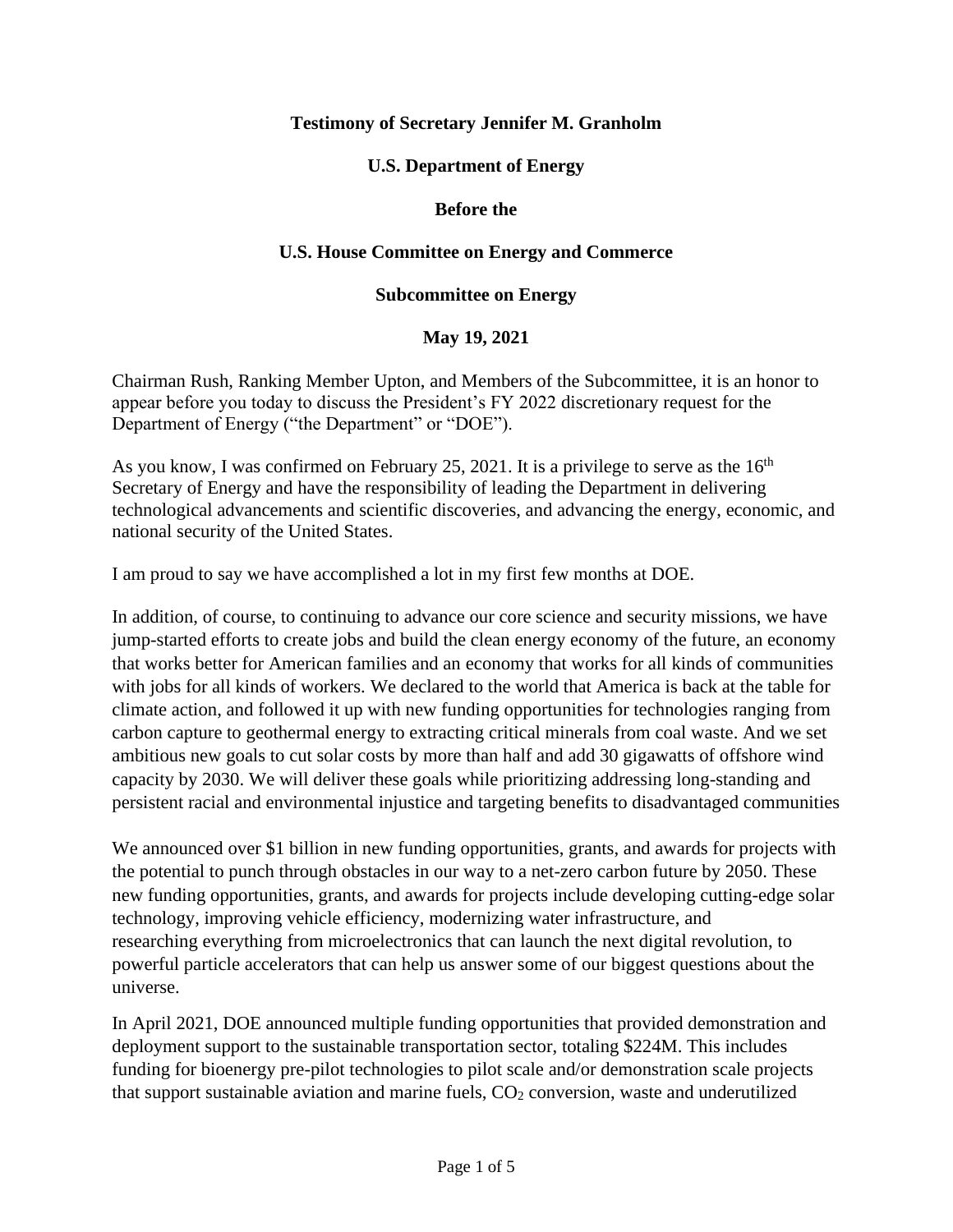### **Testimony of Secretary Jennifer M. Granholm**

### **U.S. Department of Energy**

#### **Before the**

### **U.S. House Committee on Energy and Commerce**

#### **Subcommittee on Energy**

### **May 19, 2021**

Chairman Rush, Ranking Member Upton, and Members of the Subcommittee, it is an honor to appear before you today to discuss the President's FY 2022 discretionary request for the Department of Energy ("the Department" or "DOE").

As you know, I was confirmed on February 25, 2021. It is a privilege to serve as the  $16<sup>th</sup>$ Secretary of Energy and have the responsibility of leading the Department in delivering technological advancements and scientific discoveries, and advancing the energy, economic, and national security of the United States.

I am proud to say we have accomplished a lot in my first few months at DOE.

In addition, of course, to continuing to advance our core science and security missions, we have jump-started efforts to create jobs and build the clean energy economy of the future, an economy that works better for American families and an economy that works for all kinds of communities with jobs for all kinds of workers. We declared to the world that America is back at the table for climate action, and followed it up with new funding opportunities for technologies ranging from carbon capture to geothermal energy to extracting critical minerals from coal waste. And we set ambitious new goals to cut solar costs by more than half and add 30 gigawatts of offshore wind capacity by 2030. We will deliver these goals while prioritizing addressing long-standing and persistent racial and environmental injustice and targeting benefits to disadvantaged communities

We announced over \$1 billion in new funding opportunities, grants, and awards for projects with the potential to punch through obstacles in our way to a net-zero carbon future by 2050. These new funding opportunities, grants, and awards for projects include developing cutting-edge solar technology, improving vehicle efficiency, modernizing water infrastructure, and researching everything from microelectronics that can launch the next digital revolution, to powerful particle accelerators that can help us answer some of our biggest questions about the universe.

In April 2021, DOE announced multiple funding opportunities that provided demonstration and deployment support to the sustainable transportation sector, totaling \$224M. This includes funding for bioenergy pre-pilot technologies to pilot scale and/or demonstration scale projects that support sustainable aviation and marine fuels,  $CO<sub>2</sub>$  conversion, waste and underutilized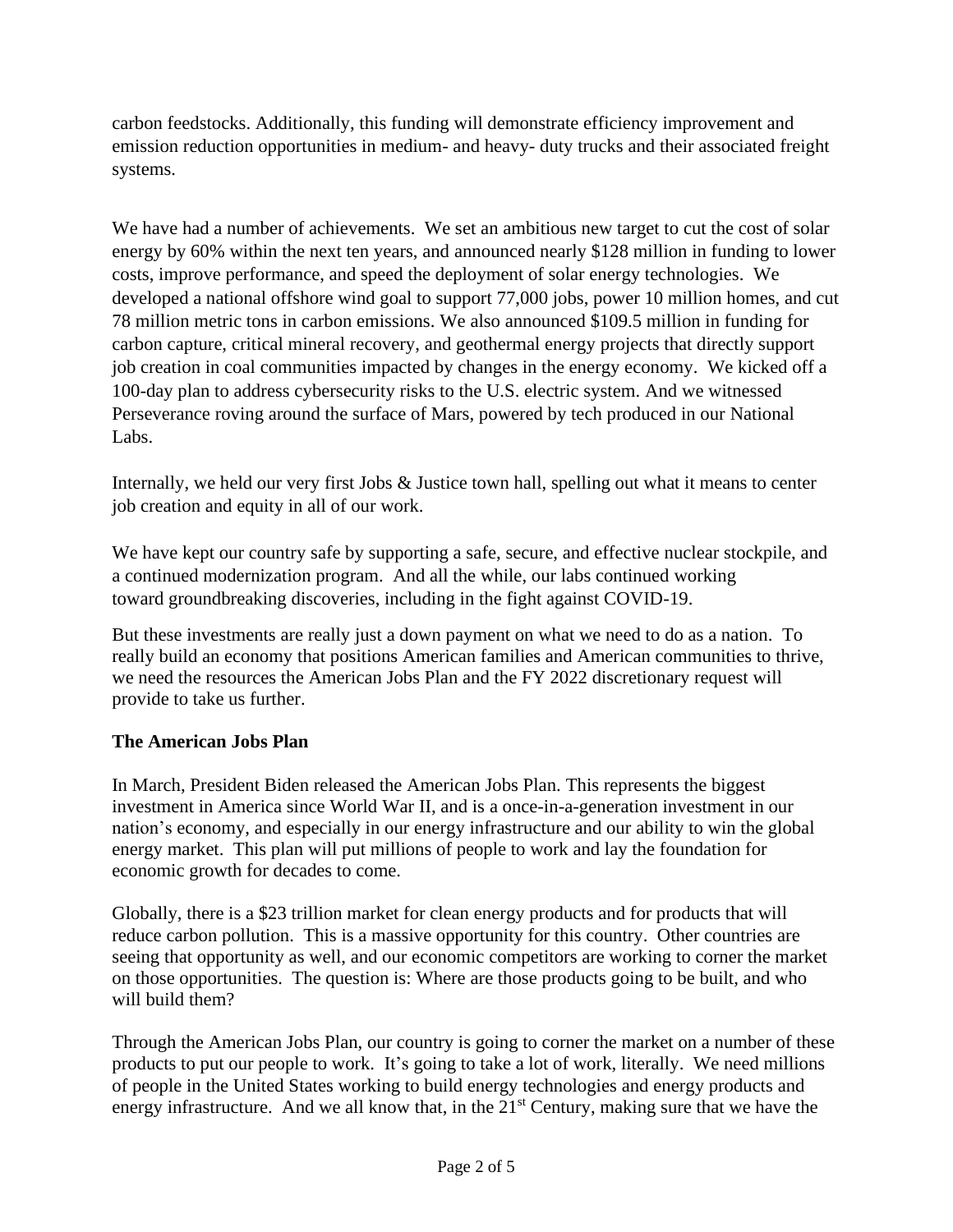carbon feedstocks. Additionally, this funding will demonstrate efficiency improvement and emission reduction opportunities in medium- and heavy- duty trucks and their associated freight systems.

We have had a number of achievements. We set an ambitious new target to cut the cost of solar energy by 60% within the next ten years, and announced nearly \$128 million in funding to lower costs, improve performance, and speed the deployment of solar energy technologies. We developed a national offshore wind goal to support 77,000 jobs, power 10 million homes, and cut 78 million metric tons in carbon emissions. We also announced \$109.5 million in funding for carbon capture, critical mineral recovery, and geothermal energy projects that directly support job creation in coal communities impacted by changes in the energy economy. We kicked off a 100-day plan to address cybersecurity risks to the U.S. electric system. And we witnessed Perseverance roving around the surface of Mars, powered by tech produced in our National Labs.

Internally, we held our very first Jobs & [Justice](https://www.youtube.com/watch?v=e6RiD16RU3k) town hall, spelling out what it means to center job creation and equity in all of our work.

We have kept our country safe by supporting a safe, secure, and effective nuclear stockpile, and a continued modernization program. And all the while, our labs continued working toward groundbreaking discoveries, including in the fight against COVID-19.

But these investments are really just a down payment on what we need to do as a nation. To really build an economy that positions American families and American communities to thrive, we need the resources the American Jobs Plan and the FY 2022 discretionary request will provide to take us further.

### **The American Jobs Plan**

In March, President Biden released the American Jobs Plan. This represents the biggest investment in America since World War II, and is a once-in-a-generation investment in our nation's economy, and especially in our energy infrastructure and our ability to win the global energy market. This plan will put millions of people to work and lay the foundation for economic growth for decades to come.

Globally, there is a \$23 trillion market for clean energy products and for products that will reduce carbon pollution. This is a massive opportunity for this country. Other countries are seeing that opportunity as well, and our economic competitors are working to corner the market on those opportunities. The question is: Where are those products going to be built, and who will build them?

Through the American Jobs Plan, our country is going to corner the market on a number of these products to put our people to work. It's going to take a lot of work, literally. We need millions of people in the United States working to build energy technologies and energy products and energy infrastructure. And we all know that, in the 21<sup>st</sup> Century, making sure that we have the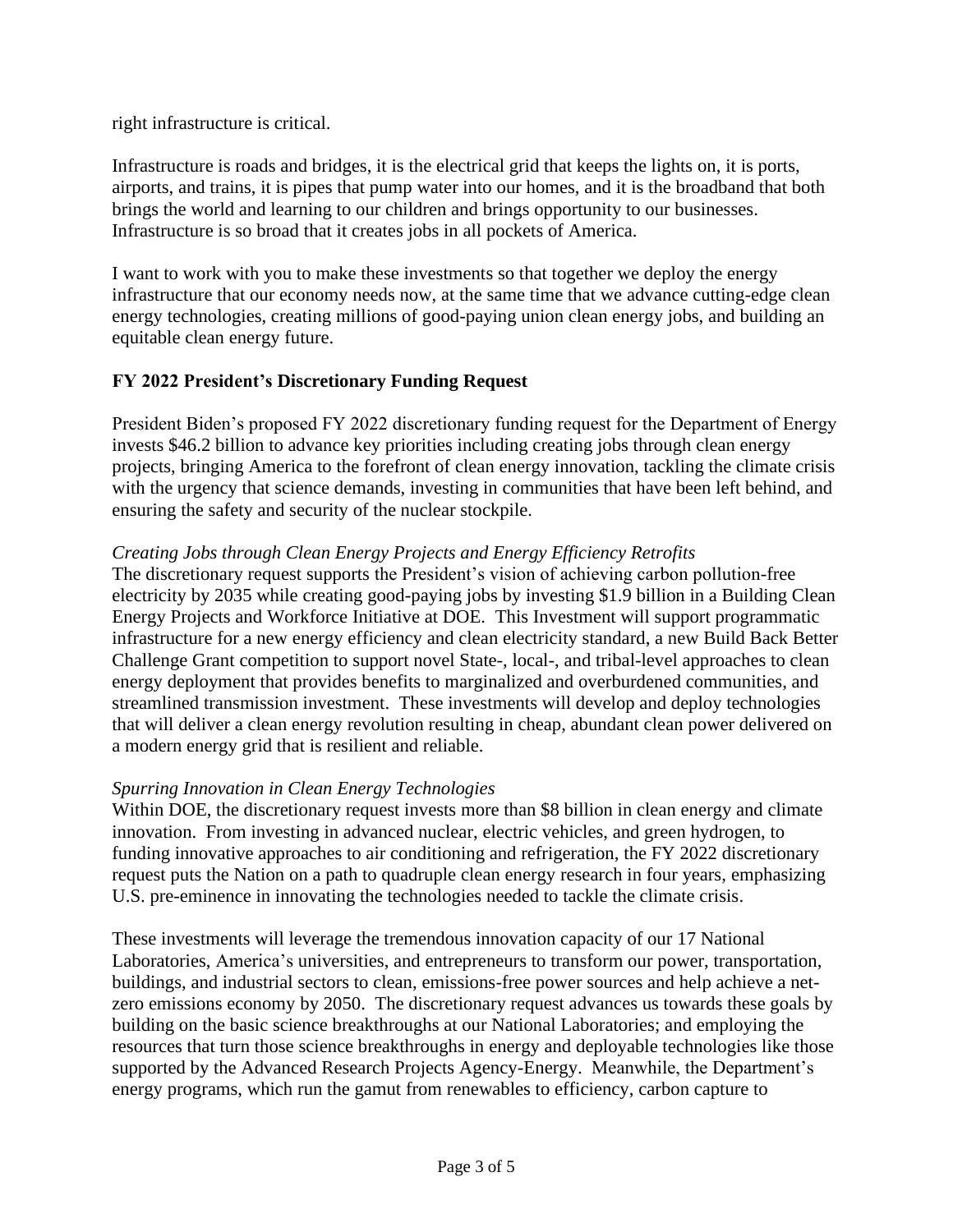right infrastructure is critical.

Infrastructure is roads and bridges, it is the electrical grid that keeps the lights on, it is ports, airports, and trains, it is pipes that pump water into our homes, and it is the broadband that both brings the world and learning to our children and brings opportunity to our businesses. Infrastructure is so broad that it creates jobs in all pockets of America.

I want to work with you to make these investments so that together we deploy the energy infrastructure that our economy needs now, at the same time that we advance cutting-edge clean energy technologies, creating millions of good-paying union clean energy jobs, and building an equitable clean energy future.

## **FY 2022 President's Discretionary Funding Request**

President Biden's proposed FY 2022 discretionary funding request for the Department of Energy invests \$46.2 billion to advance key priorities including creating jobs through clean energy projects, bringing America to the forefront of clean energy innovation, tackling the climate crisis with the urgency that science demands, investing in communities that have been left behind, and ensuring the safety and security of the nuclear stockpile.

#### *Creating Jobs through Clean Energy Projects and Energy Efficiency Retrofits*

The discretionary request supports the President's vision of achieving carbon pollution-free electricity by 2035 while creating good-paying jobs by investing \$1.9 billion in a Building Clean Energy Projects and Workforce Initiative at DOE. This Investment will support programmatic infrastructure for a new energy efficiency and clean electricity standard, a new Build Back Better Challenge Grant competition to support novel State-, local-, and tribal-level approaches to clean energy deployment that provides benefits to marginalized and overburdened communities, and streamlined transmission investment. These investments will develop and deploy technologies that will deliver a clean energy revolution resulting in cheap, abundant clean power delivered on a modern energy grid that is resilient and reliable.

### *Spurring Innovation in Clean Energy Technologies*

Within DOE, the discretionary request invests more than \$8 billion in clean energy and climate innovation. From investing in advanced nuclear, electric vehicles, and green hydrogen, to funding innovative approaches to air conditioning and refrigeration, the FY 2022 discretionary request puts the Nation on a path to quadruple clean energy research in four years, emphasizing U.S. pre-eminence in innovating the technologies needed to tackle the climate crisis.

These investments will leverage the tremendous innovation capacity of our 17 National Laboratories, America's universities, and entrepreneurs to transform our power, transportation, buildings, and industrial sectors to clean, emissions-free power sources and help achieve a netzero emissions economy by 2050. The discretionary request advances us towards these goals by building on the basic science breakthroughs at our National Laboratories; and employing the resources that turn those science breakthroughs in energy and deployable technologies like those supported by the Advanced Research Projects Agency-Energy. Meanwhile, the Department's energy programs, which run the gamut from renewables to efficiency, carbon capture to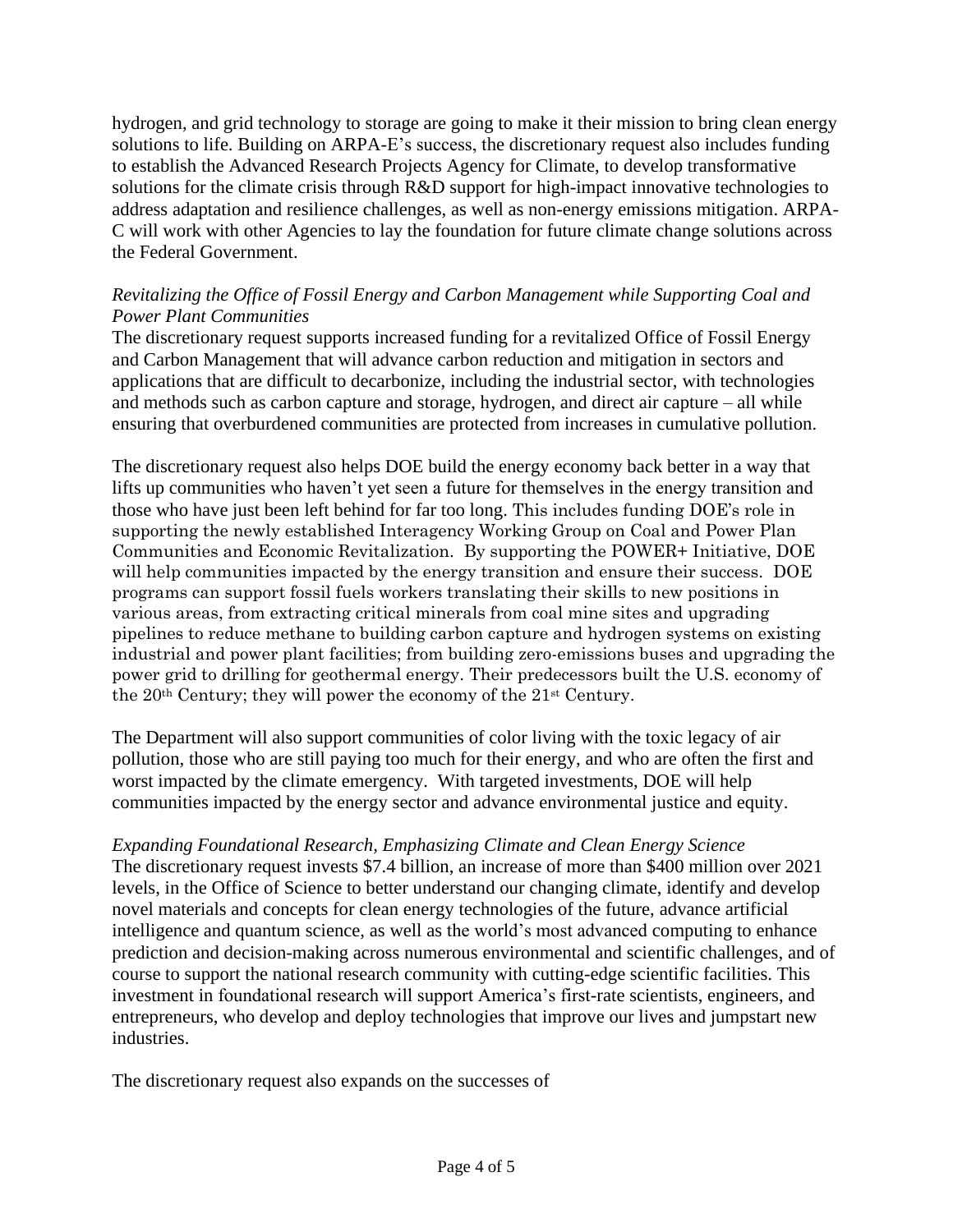hydrogen, and grid technology to storage are going to make it their mission to bring clean energy solutions to life. Building on ARPA-E's success, the discretionary request also includes funding to establish the Advanced Research Projects Agency for Climate, to develop transformative solutions for the climate crisis through R&D support for high-impact innovative technologies to address adaptation and resilience challenges, as well as non-energy emissions mitigation. ARPA-C will work with other Agencies to lay the foundation for future climate change solutions across the Federal Government.

## *Revitalizing the Office of Fossil Energy and Carbon Management while Supporting Coal and Power Plant Communities*

The discretionary request supports increased funding for a revitalized Office of Fossil Energy and Carbon Management that will advance carbon reduction and mitigation in sectors and applications that are difficult to decarbonize, including the industrial sector, with technologies and methods such as carbon capture and storage, hydrogen, and direct air capture – all while ensuring that overburdened communities are protected from increases in cumulative pollution.

The discretionary request also helps DOE build the energy economy back better in a way that lifts up communities who haven't yet seen a future for themselves in the energy transition and those who have just been left behind for far too long. This includes funding DOE's role in supporting the newly established Interagency Working Group on Coal and Power Plan Communities and Economic Revitalization. By supporting the POWER+ Initiative, DOE will help communities impacted by the energy transition and ensure their success. DOE programs can support fossil fuels workers translating their skills to new positions in various areas, from extracting critical minerals from coal mine sites and upgrading pipelines to reduce methane to building carbon capture and hydrogen systems on existing industrial and power plant facilities; from building zero-emissions buses and upgrading the power grid to drilling for geothermal energy. Their predecessors built the U.S. economy of the 20th Century; they will power the economy of the 21st Century.

The Department will also support communities of color living with the toxic legacy of air pollution, those who are still paying too much for their energy, and who are often the first and worst impacted by the climate emergency. With targeted investments, DOE will help communities impacted by the energy sector and advance environmental justice and equity.

# *Expanding Foundational Research, Emphasizing Climate and Clean Energy Science*

The discretionary request invests \$7.4 billion, an increase of more than \$400 million over 2021 levels, in the Office of Science to better understand our changing climate, identify and develop novel materials and concepts for clean energy technologies of the future, advance artificial intelligence and quantum science, as well as the world's most advanced computing to enhance prediction and decision-making across numerous environmental and scientific challenges, and of course to support the national research community with cutting-edge scientific facilities. This investment in foundational research will support America's first-rate scientists, engineers, and entrepreneurs, who develop and deploy technologies that improve our lives and jumpstart new industries.

The discretionary request also expands on the successes of